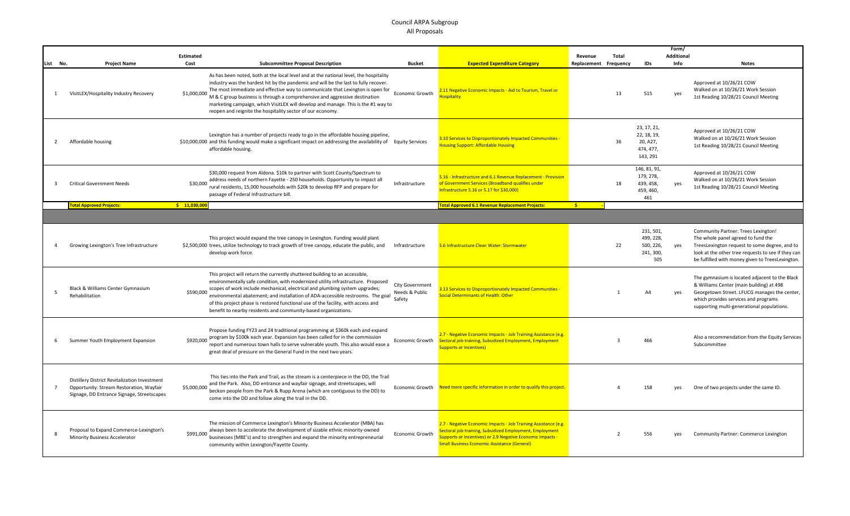|                |                                                                                                                                         |                  |                                                                                                                                                                                                                                                                                                                                                                                                                                                                                                    |                                   |                                                                                                                                                                                                                                                         | Form/       |                |                                                                 |            |                                                                                                                                                                                                                                             |
|----------------|-----------------------------------------------------------------------------------------------------------------------------------------|------------------|----------------------------------------------------------------------------------------------------------------------------------------------------------------------------------------------------------------------------------------------------------------------------------------------------------------------------------------------------------------------------------------------------------------------------------------------------------------------------------------------------|-----------------------------------|---------------------------------------------------------------------------------------------------------------------------------------------------------------------------------------------------------------------------------------------------------|-------------|----------------|-----------------------------------------------------------------|------------|---------------------------------------------------------------------------------------------------------------------------------------------------------------------------------------------------------------------------------------------|
|                |                                                                                                                                         | <b>Estimated</b> |                                                                                                                                                                                                                                                                                                                                                                                                                                                                                                    |                                   |                                                                                                                                                                                                                                                         | Revenue     | Total          |                                                                 | Additional |                                                                                                                                                                                                                                             |
| List No.       | <b>Project Name</b>                                                                                                                     | Cost             | <b>Subcommittee Proposal Description</b>                                                                                                                                                                                                                                                                                                                                                                                                                                                           | <b>Bucket</b>                     | <b>Expected Expenditure Category</b>                                                                                                                                                                                                                    | Replacement | Frequency      | <b>IDs</b>                                                      | Info       | <b>Notes</b>                                                                                                                                                                                                                                |
| 1              | VisitLEX/Hospitality Industry Recovery                                                                                                  | \$1,000,000      | As has been noted, both at the local level and at the national level, the hospitality<br>industry was the hardest hit by the pandemic and will be the last to fully recover.<br>The most immediate and effective way to communicate that Lexington is open for<br>M & C group business is through a comprehensive and aggressive destination<br>marketing campaign, which VisitLEX will develop and manage. This is the #1 way to<br>reopen and reignite the hospitality sector of our economy.    | Economic Growth                   | 2.11 Negative Economic Impacts - Aid to Tourism, Travel or<br><b>Hospitality</b>                                                                                                                                                                        |             | 13             | 515                                                             | yes        | Approved at 10/26/21 COW<br>Walked on at 10/26/21 Work Session<br>1st Reading 10/28/21 Council Meeting                                                                                                                                      |
| 2              | Affordable housing                                                                                                                      |                  | Lexington has a number of projects ready to go in the affordable housing pipeline,<br>\$10,000,000 and this funding would make a significant impact on addressing the availability of Equity Services<br>affordable housing.                                                                                                                                                                                                                                                                       |                                   | 3.10 Services to Disproportionately Impacted Communities -<br><b>Housing Support: Affordable Housing</b>                                                                                                                                                |             | 36             | 23, 17, 21,<br>22, 18, 19,<br>20, A27,<br>474, 477,<br>143, 291 |            | Approved at 10/26/21 COW<br>Walked on at 10/26/21 Work Session<br>1st Reading 10/28/21 Council Meeting                                                                                                                                      |
| -3             | <b>Critical Government Needs</b>                                                                                                        | \$30,000         | \$30,000 request from Aldona. \$10k to partner with Scott County/Spectrum to<br>address needs of northern Fayette - 250 households. Opportunity to impact all<br>rural residents, 15,000 households with \$20k to develop RFP and prepare for<br>passage of Federal Infrastructure bill.                                                                                                                                                                                                           | Infrastructure                    | 5.16 - Infrastructure and 6.1 Revenue Replacement - Provision<br>of Government Services (Broadband qualifies under<br>Infrastructure 5.16 or 5.17 for \$30,000)                                                                                         |             | 18             | 146, 81, 91,<br>179, 278,<br>439, 458,<br>459, 460,<br>461      | yes        | Approved at 10/26/21 COW<br>Walked on at 10/26/21 Work Session<br>1st Reading 10/28/21 Council Meeting                                                                                                                                      |
|                | <b>Fotal Approved Projects:</b>                                                                                                         | \$11,030,000     |                                                                                                                                                                                                                                                                                                                                                                                                                                                                                                    |                                   | <b>Total Approved 6.1 Revenue Replacement Projects:</b>                                                                                                                                                                                                 | -\$         |                |                                                                 |            |                                                                                                                                                                                                                                             |
|                |                                                                                                                                         |                  |                                                                                                                                                                                                                                                                                                                                                                                                                                                                                                    |                                   |                                                                                                                                                                                                                                                         |             |                |                                                                 |            |                                                                                                                                                                                                                                             |
|                | Growing Lexington's Tree Infrastructure                                                                                                 |                  | This project would expand the tree canopy in Lexington. Funding would plant<br>\$2,500,000 trees, utilize technology to track growth of tree canopy, educate the public, and<br>develop work force.                                                                                                                                                                                                                                                                                                | Infrastructure                    | 5.6 Infrastructure Clean Water: Stormwater                                                                                                                                                                                                              |             | 22             | 231, 501,<br>499, 228,<br>500, 226,<br>241, 300,<br>505         | yes        | <b>Community Partner: Trees Lexington!</b><br>The whole panel agreed to fund the<br>TreesLexington request to some degree, and to<br>look at the other tree requests to see if they can<br>be fulfilled with money given to TreesLexington. |
| 5              | Black & Williams Center Gymnasium<br>Rehabilitation                                                                                     | \$590,000        | This project will return the currently shuttered building to an accessible,<br>environmentally safe condition, with modernized utility infrastructure. Proposed<br>scopes of work include mechanical, electrical and plumbing system upgrades;<br>environmental abatement; and installation of ADA-accessible restrooms. The goal<br>Safety<br>of this project phase is restored functional use of the facility, with access and<br>benefit to nearby residents and community-based organizations. | City Government<br>Needs & Public | 3.13 Services to Disproportionately Impacted Communities -<br><b>Social Determinants of Health: Other</b>                                                                                                                                               |             | $\mathbf{1}$   | A4                                                              | yes        | The gymnasium is located adjacent to the Black<br>& Williams Center (main building) at 498<br>Georgetown Street. LFUCG manages the center,<br>which provides services and programs<br>supporting multi-generational populations.            |
| - 6            | Summer Youth Employment Expansion                                                                                                       | \$920,000        | Propose funding FY23 and 24 traditional programming at \$360k each and expand<br>program by \$100k each year. Expansion has been called for in the commission<br>report and numerous town halls to serve vulnerable youth. This also would ease a<br>great deal of pressure on the General Fund in the next two years.                                                                                                                                                                             | Economic Growth                   | 2.7 - Negative Economic Impacts - Job Training Assistance (e.g.<br>Sectoral job-training, Subsidized Employment, Employment<br><b>Supports or Incentives)</b>                                                                                           |             | 3              | 466                                                             |            | Also a recommendation from the Equity Services<br>Subcommittee                                                                                                                                                                              |
| $\overline{7}$ | Distillery District Revitalization Investment<br>Opportunity: Stream Restoration, Wayfair<br>Signage, DD Entrance Signage, Streetscapes | \$5,000,000      | This ties into the Park and Trail, as the stream is a centerpiece in the DD, the Trail<br>and the Park. Also, DD entrance and wayfair signage, and streetscapes, will<br>beckon people from the Park & Rupp Arena (which are contiguous to the DD) to<br>come into the DD and follow along the trail in the DD.                                                                                                                                                                                    |                                   | Economic Growth Need more specific information in order to qualify this project.                                                                                                                                                                        |             |                | 158                                                             |            | One of two projects under the same ID.                                                                                                                                                                                                      |
| 8              | Proposal to Expand Commerce-Lexington's<br><b>Minority Business Accelerator</b>                                                         | \$991,000        | The mission of Commerce Lexington's Minority Business Accelerator (MBA) has<br>always been to accelerate the development of sizable ethnic minority-owned<br>businesses (MBE's) and to strengthen and expand the minority entrepreneurial<br>community within Lexington/Fayette County.                                                                                                                                                                                                            | Economic Growth                   | 2.7 - Negative Economic Impacts - Job Training Assistance (e.g.<br>Sectoral job-training, Subsidized Employment, Employment<br><b>Supports or Incentives) or 2.9 Negative Economic Impacts -</b><br><b>Small Business Economic Assistance (General)</b> |             | $\overline{2}$ | 556                                                             | yes        | Community Partner: Commerce Lexington                                                                                                                                                                                                       |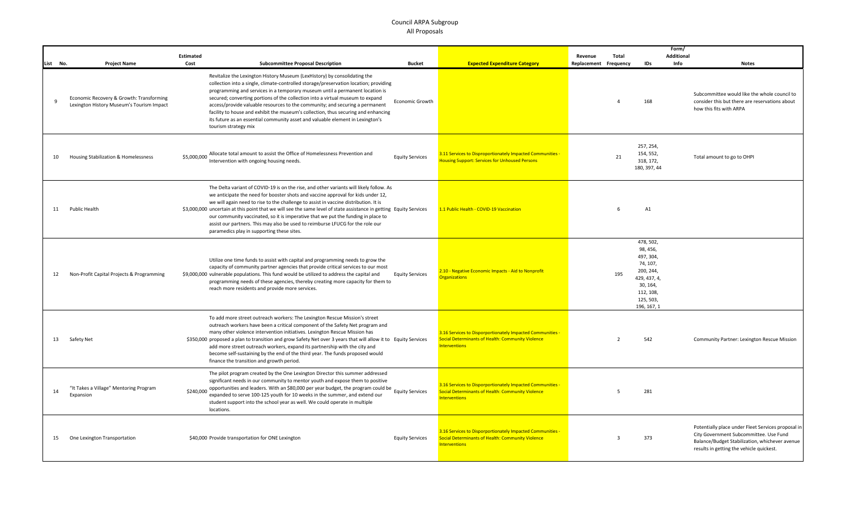|              |                                                                                       | Estimated   |                                                                                                                                                                                                                                                                                                                                                                                                                                                                                                                                                                                                                      |                        |                                                                                                                                                | Revenue     | Total          |                                                                                                                                  | Form/<br><b>Additional</b>                                                                                                                                                                 |
|--------------|---------------------------------------------------------------------------------------|-------------|----------------------------------------------------------------------------------------------------------------------------------------------------------------------------------------------------------------------------------------------------------------------------------------------------------------------------------------------------------------------------------------------------------------------------------------------------------------------------------------------------------------------------------------------------------------------------------------------------------------------|------------------------|------------------------------------------------------------------------------------------------------------------------------------------------|-------------|----------------|----------------------------------------------------------------------------------------------------------------------------------|--------------------------------------------------------------------------------------------------------------------------------------------------------------------------------------------|
| List No.     | <b>Project Name</b>                                                                   | Cost        | <b>Subcommittee Proposal Description</b>                                                                                                                                                                                                                                                                                                                                                                                                                                                                                                                                                                             | <b>Bucket</b>          | <b>Expected Expenditure Category</b>                                                                                                           | Replacement | Frequency      | IDs                                                                                                                              | Info<br><b>Notes</b>                                                                                                                                                                       |
| $\mathbf{q}$ | Economic Recovery & Growth: Transforming<br>Lexington History Museum's Tourism Impact |             | Revitalize the Lexington History Museum (LexHistory) by consolidating the<br>collection into a single, climate-controlled storage/preservation location; providing<br>programming and services in a temporary museum until a permanent location is<br>secured; converting portions of the collection into a virtual museum to expand<br>access/provide valuable resources to the community; and securing a permanent<br>facility to house and exhibit the museum's collection, thus securing and enhancing<br>its future as an essential community asset and valuable element in Lexington's<br>tourism strategy mix | Economic Growth        |                                                                                                                                                |             | $\overline{a}$ | 168                                                                                                                              | Subcommittee would like the whole council to<br>consider this but there are reservations about<br>how this fits with ARPA                                                                  |
| 10           | Housing Stabilization & Homelessness                                                  | \$5,000,000 | Allocate total amount to assist the Office of Homelessness Prevention and<br>Intervention with ongoing housing needs.                                                                                                                                                                                                                                                                                                                                                                                                                                                                                                | <b>Equity Services</b> | 3.11 Services to Disproportionately Impacted Communities -<br><b>Housing Support: Services for Unhoused Persons</b>                            |             | 21             | 257, 254,<br>154, 552,<br>318, 172,<br>180, 397, 44                                                                              | Total amount to go to OHPI                                                                                                                                                                 |
| 11           | Public Health                                                                         |             | The Delta variant of COVID-19 is on the rise, and other variants will likely follow. As<br>we anticipate the need for booster shots and vaccine approval for kids under 12,<br>we will again need to rise to the challenge to assist in vaccine distribution. It is<br>\$3,000,000 uncertain at this point that we will see the same level of state assistance in getting Equity Services<br>our community vaccinated, so it is imperative that we put the funding in place to<br>assist our partners. This may also be used to reimburse LFUCG for the role our<br>paramedics play in supporting these sites.       |                        | 1.1 Public Health - COVID-19 Vaccination                                                                                                       |             | 6              | A1                                                                                                                               |                                                                                                                                                                                            |
| 12           | Non-Profit Capital Projects & Programming                                             |             | Utilize one time funds to assist with capital and programming needs to grow the<br>capacity of community partner agencies that provide critical services to our most<br>\$9,000,000 vulnerable populations. This fund would be utilized to address the capital and<br>programming needs of these agencies, thereby creating more capacity for them to<br>reach more residents and provide more services.                                                                                                                                                                                                             | <b>Equity Services</b> | 2.10 - Negative Economic Impacts - Aid to Nonprofit<br><b>Organizations</b>                                                                    |             | 195            | 478, 502,<br>98, 456,<br>497, 304,<br>74, 107,<br>200, 244,<br>429, 437, 4,<br>30, 164,<br>112, 108,<br>125, 503,<br>196, 167, 1 |                                                                                                                                                                                            |
| 13           | Safety Net                                                                            |             | To add more street outreach workers: The Lexington Rescue Mission's street<br>outreach workers have been a critical component of the Safety Net program and<br>many other violence intervention initiatives. Lexington Rescue Mission has<br>\$350,000 proposed a plan to transition and grow Safety Net over 3 years that will allow it to Equity Services<br>add more street outreach workers, expand its partnership with the city and<br>become self-sustaining by the end of the third year. The funds proposed would<br>finance the transition and growth period.                                              |                        | 3.16 Services to Disporportionately Impacted Communities -<br>Social Determinants of Health: Community Violence<br><b>Interventions</b>        |             | $\overline{2}$ | 542                                                                                                                              | Community Partner: Lexington Rescue Mission                                                                                                                                                |
| 14           | "It Takes a Village" Mentoring Program<br>Expansion                                   | \$240,000   | The pilot program created by the One Lexington Director this summer addressed<br>significant needs in our community to mentor youth and expose them to positive<br>opportunities and leaders. With an \$80,000 per year budget, the program could be Equity Services<br>expanded to serve 100-125 youth for 10 weeks in the summer, and extend our<br>student support into the school year as well. We could operate in multiple<br>locations.                                                                                                                                                                       |                        | 3.16 Services to Disporportionately Impacted Communities -<br><b>Social Determinants of Health: Community Violence</b><br><b>Interventions</b> |             | 5              | 281                                                                                                                              |                                                                                                                                                                                            |
| 15           | One Lexington Transportation                                                          |             | \$40,000 Provide transportation for ONE Lexington                                                                                                                                                                                                                                                                                                                                                                                                                                                                                                                                                                    | <b>Equity Services</b> | 3.16 Services to Disporportionately Impacted Communities -<br><b>Social Determinants of Health: Community Violence</b><br><b>Interventions</b> |             | $\overline{3}$ | 373                                                                                                                              | Potentially place under Fleet Services proposal in<br>City Government Subcommittee. Use Fund<br>Balance/Budget Stabilization, whichever avenue<br>results in getting the vehicle quickest. |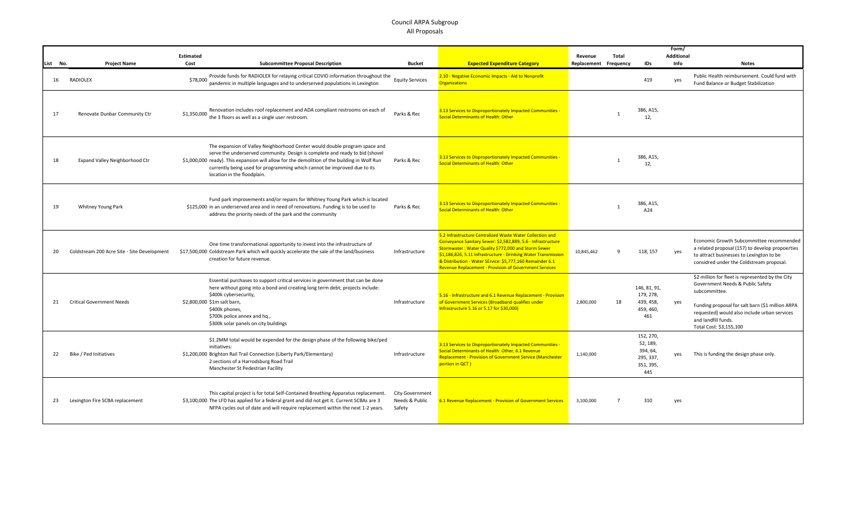|          |                                             |                  |                                                                                                                                                                                                                                                                                                                                                                       |                                             |                                                                                                                                                                                                                                                                                                                                                                                  |             |                |                                                                    | Form/             |                                                                                                                                                                                                                                                             |  |
|----------|---------------------------------------------|------------------|-----------------------------------------------------------------------------------------------------------------------------------------------------------------------------------------------------------------------------------------------------------------------------------------------------------------------------------------------------------------------|---------------------------------------------|----------------------------------------------------------------------------------------------------------------------------------------------------------------------------------------------------------------------------------------------------------------------------------------------------------------------------------------------------------------------------------|-------------|----------------|--------------------------------------------------------------------|-------------------|-------------------------------------------------------------------------------------------------------------------------------------------------------------------------------------------------------------------------------------------------------------|--|
|          |                                             | <b>Estimated</b> |                                                                                                                                                                                                                                                                                                                                                                       |                                             |                                                                                                                                                                                                                                                                                                                                                                                  | Revenue     | Total          |                                                                    | <b>Additional</b> |                                                                                                                                                                                                                                                             |  |
| List No. | <b>Project Name</b>                         | Cost             | <b>Subcommittee Proposal Description</b>                                                                                                                                                                                                                                                                                                                              | <b>Bucket</b>                               | <b>Expected Expenditure Category</b>                                                                                                                                                                                                                                                                                                                                             | Replacement | Frequency      | <b>IDs</b>                                                         | Info              | <b>Notes</b>                                                                                                                                                                                                                                                |  |
| 16       | <b>RADIOLEX</b>                             | \$78,000         | Provide funds for RADIOLEX for relaying critical COVID information throughout the<br>pandemic in multiple languages and to underserved populations in Lexington                                                                                                                                                                                                       | <b>Equity Services</b>                      | 2.10 - Negative Economic Impacts - Aid to Nonprofit<br><b>Organizations</b>                                                                                                                                                                                                                                                                                                      |             |                | 419                                                                | yes               | Public Health reimbursement. Could fund with<br>Fund Balance or Budget Stabilization                                                                                                                                                                        |  |
| 17       | Renovate Dunbar Community Ctr               | \$1,350,000      | Renovation includes roof replacement and ADA compliant restrooms on each of<br>the 3 floors as well as a single user restroom.                                                                                                                                                                                                                                        | Parks & Rec                                 | 3.13 Services to Disproportionately Impacted Communities -<br>Social Determinants of Health: Other                                                                                                                                                                                                                                                                               |             | $\mathbf{1}$   | 386, A15,<br>12,                                                   |                   |                                                                                                                                                                                                                                                             |  |
| 18       | Expand Valley Neighborhood Ctr              |                  | The expansion of Valley Neighborhood Center would double program space and<br>serve the underserved community. Design is complete and ready to bid (shovel<br>\$1,000,000 ready). This expansion will allow for the demolition of the building in Wolf Run<br>currently being used for programming which cannot be improved due to its<br>location in the floodplain. | Parks & Rec                                 | 3.13 Services to Disproportionately Impacted Communities -<br>Social Determinants of Health: Other                                                                                                                                                                                                                                                                               |             | $\overline{1}$ | 386, A15,<br>12,                                                   |                   |                                                                                                                                                                                                                                                             |  |
| 19       | Whitney Young Park                          |                  | Fund park improvements and/or repairs for Whitney Young Park which is located<br>\$125,000 in an underserved area and in need of renovations. Funding is to be used to<br>address the priority needs of the park and the community                                                                                                                                    | Parks & Rec                                 | 3.13 Services to Disproportionately Impacted Communities -<br>Social Determinants of Health: Other                                                                                                                                                                                                                                                                               |             |                | 386, A15,<br>A24                                                   |                   |                                                                                                                                                                                                                                                             |  |
| 20       | Coldstream 200 Acre Site - Site Development |                  | One time transformational opportunity to invest into the infrastructure of<br>\$17,500,000 Coldstream Park which will quickly accelerate the sale of the land/business<br>creation for future revenue.                                                                                                                                                                | Infrastructure                              | 5.2 Infrastructure Centralized Waste Water Collection and<br>Conveyance Sanitary Sewer: \$2,582,889, 5.6 - Infrastructure<br>Stormwater: Water Quality \$772,000 and Storm Sewer<br>\$1,186,826, 5.11 Infrastructure - Drinking Water Transmission<br>& Distribution - Water SErvice: \$5,777,160 Remainder 6.1<br><b>Revenue Replacement - Provision of Government Services</b> | 10,845,462  | 9              | 118, 157                                                           | yes               | Economic Growth Subcommittee recommended<br>a related proposal (157) to develop propoerties<br>to attract businesses to Lexington to be<br>considred under the Coldstream proposal.                                                                         |  |
| 21       | <b>Critical Government Needs</b>            |                  | Essential purchases to support critical services in government that can be done<br>here without going into a bond and creating long term debt; projects include:<br>\$400k cybersecurity,<br>\$2,800,000 \$1m salt barn,<br>\$400k phones,<br>\$700k police annex and hq.,<br>\$300k solar panels on city buildings                                                   | Infrastructure                              | 5.16 - Infrastructure and 6.1 Revenue Replacement - Provision<br>of Government Services (Broadband qualifies under<br>Infrastructure 5.16 or 5.17 for \$30,000)                                                                                                                                                                                                                  | 2,800,000   | 18             | 146, 81, 91,<br>179, 278,<br>439, 458,<br>459, 460,<br>461         | yes               | \$2 million for fleet is represented by the City<br>Government Needs & Public Safety<br>subcommittee.<br>Funding proposal for salt barn (\$1 million ARPA<br>requested) would also include urban services<br>and landfill funds.<br>Total Cost: \$3,155,100 |  |
| 22       | Bike / Ped Initiatives                      |                  | \$1.2MM total would be expended for the design phase of the following bike/ped<br>initiatives:<br>\$1,200,000 Brighton Rail Trail Connection (Liberty Park/Elementary)<br>2 sections of a Harrodsburg Road Trail<br>Manchester St Pedestrian Facility                                                                                                                 | Infrastructure                              | 3.13 Services to Disproportionately Impacted Communities -<br>Social Determinants of Health: Other, 6.1 Revenue<br><b>Replacement - Provision of Government Service (Manchester</b><br>portion in QCT)                                                                                                                                                                           | 1,140,000   |                | 152, 270,<br>52, 189,<br>394, 64,<br>295, 337,<br>351, 395,<br>445 | yes               | This is funding the design phase only.                                                                                                                                                                                                                      |  |
| 23       | Lexington Fire SCBA replacement             |                  | This capital project is for total Self-Contained Breathing Apparatus replacement.<br>\$3,100,000 The LFD has applied for a federal grant and did not get it. Current SCBAs are 3<br>NFPA cycles out of date and will require replacement within the next 1-2 years.                                                                                                   | City Government<br>Needs & Public<br>Safety | 6.1 Revenue Replacement - Provision of Government Services                                                                                                                                                                                                                                                                                                                       | 3,100,000   | $\overline{7}$ | 310                                                                | yes               |                                                                                                                                                                                                                                                             |  |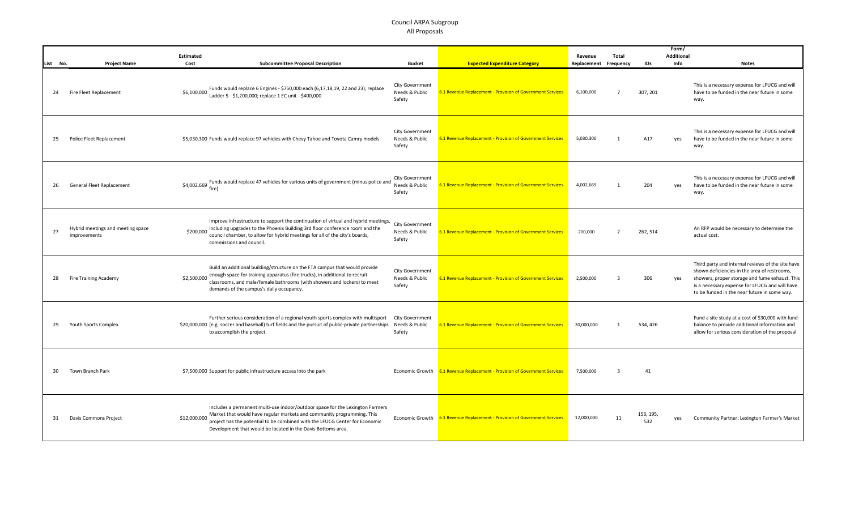|          |                                                   | <b>Estimated</b> |                                                                                                                                                                                                                                                                                                        |                                                    |                                                                            | Revenue               | Total          |                  | <b>Additional</b> |                                                                                                                                                                                                                                                       |
|----------|---------------------------------------------------|------------------|--------------------------------------------------------------------------------------------------------------------------------------------------------------------------------------------------------------------------------------------------------------------------------------------------------|----------------------------------------------------|----------------------------------------------------------------------------|-----------------------|----------------|------------------|-------------------|-------------------------------------------------------------------------------------------------------------------------------------------------------------------------------------------------------------------------------------------------------|
| List No. | <b>Project Name</b>                               | Cost             | <b>Subcommittee Proposal Description</b>                                                                                                                                                                                                                                                               | <b>Bucket</b>                                      | <b>Expected Expenditure Category</b>                                       | Replacement Frequency |                | IDs              | Info              | <b>Notes</b>                                                                                                                                                                                                                                          |
| 24       | Fire Fleet Replacement                            | \$6,100,000      | Funds would replace 6 Engines - \$750,000 each (6,17,18,19, 22 and 23); replace<br>Ladder 5 - \$1,200,000; replace 1 EC unit - \$400,000                                                                                                                                                               | <b>City Government</b><br>Needs & Public<br>Safety | 6.1 Revenue Replacement - Provision of Government Services                 | 6,100,000             | $\overline{7}$ | 307, 201         |                   | This is a necessary expense for LFUCG and will<br>have to be funded in the near future in some<br>way.                                                                                                                                                |
| 25       | Police Fleet Replacement                          |                  | \$5,030,300 Funds would replace 97 vehicles with Chevy Tahoe and Toyota Camry models                                                                                                                                                                                                                   | City Government<br>Needs & Public<br>Safety        | 6.1 Revenue Replacement - Provision of Government Services                 | 5,030,300             | 1              | A17              | yes               | This is a necessary expense for LFUCG and will<br>have to be funded in the near future in some<br>way.                                                                                                                                                |
| 26       | General Fleet Replacement                         |                  | \$4,002,669 Funds would replace 47 vehicles for various units of government (minus police and<br>fire)                                                                                                                                                                                                 | <b>City Government</b><br>Needs & Public<br>Safety | 6.1 Revenue Replacement - Provision of Government Services                 | 4,002,669             | $\mathbf{1}$   | 204              | yes               | This is a necessary expense for LFUCG and will<br>have to be funded in the near future in some<br>way.                                                                                                                                                |
| 27       | Hybrid meetings and meeting space<br>improvements | \$200,000        | Improve infrastructure to support the continuation of virtual and hybrid meetings,<br>including upgrades to the Phoenix Building 3rd floor conference room and the<br>council chamber, to allow for hybrid meetings for all of the city's boards,<br>commissions and council.                          | City Government<br>Needs & Public<br>Safety        | 6.1 Revenue Replacement - Provision of Government Services                 | 200,000               | $\overline{2}$ | 262, 514         |                   | An RFP would be necessary to determine the<br>actual cost.                                                                                                                                                                                            |
| 28       | <b>Fire Training Academy</b>                      | \$2,500,000      | Build an additional building/structure on the FTA campus that would provide<br>enough space for training apparatus (fire trucks), in additional to recruit<br>classrooms, and male/female bathrooms (with showers and lockers) to meet<br>demands of the campus's daily occupancy.                     | City Government<br>Needs & Public<br>Safety        | 6.1 Revenue Replacement - Provision of Government Services                 | 2.500.000             | ्र             | 306              | yes               | Third party and internal reviews of the site have<br>shown deficiencies in the area of restrooms,<br>showers, proper storage and fume exhaust. This<br>is a necessary expense for LFUCG and will have<br>to be funded in the near future in some way. |
| 29       | Youth Sports Complex                              |                  | Further serious consideration of a regional youth sports complex with multisport<br>\$20,000,000 (e.g. soccer and baseball) turf fields and the pursuit of public-private partnerships<br>to accomplish the project.                                                                                   | City Government<br>Needs & Public<br>Safety        | 6.1 Revenue Replacement - Provision of Government Services                 | 20,000,000            | 1              | 534, 426         |                   | Fund a site study at a cost of \$30,000 with fund<br>balance to provide additional information and<br>allow for serious consideration of the proposal                                                                                                 |
| 30       | Town Branch Park                                  |                  | \$7,500,000 Support for public infrastructure access into the park                                                                                                                                                                                                                                     |                                                    | Economic Growth 6.1 Revenue Replacement - Provision of Government Services | 7,500,000             | $\overline{3}$ | 41               |                   |                                                                                                                                                                                                                                                       |
| 31       | Davis Commons Project                             | \$12,000,000     | Includes a permanent multi-use indoor/outdoor space for the Lexington Farmers<br>Market that would have regular markets and community programming. This<br>project has the potential to be combined with the LFUCG Center for Economic<br>Development that would be located in the Davis Bottoms area. |                                                    | Economic Growth 6.1 Revenue Replacement - Provision of Government Services | 12,000,000            | 11             | 153, 195,<br>532 | yes               | Community Partner: Lexington Farmer's Market                                                                                                                                                                                                          |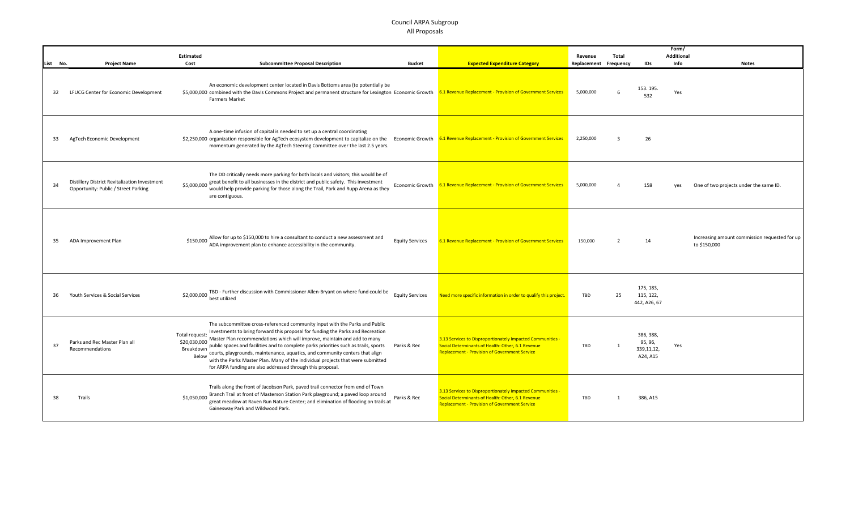|          |                                                                                       | <b>Estimated</b>                                     |                                                                                                                                                                                                                                                                                                                                                                                                                                                                                                                                                                     |                        |                                                                                                                                                                         | Revenue     | Total                   |                                                | <b>Additional</b> |                                                               |
|----------|---------------------------------------------------------------------------------------|------------------------------------------------------|---------------------------------------------------------------------------------------------------------------------------------------------------------------------------------------------------------------------------------------------------------------------------------------------------------------------------------------------------------------------------------------------------------------------------------------------------------------------------------------------------------------------------------------------------------------------|------------------------|-------------------------------------------------------------------------------------------------------------------------------------------------------------------------|-------------|-------------------------|------------------------------------------------|-------------------|---------------------------------------------------------------|
| List No. | <b>Project Name</b>                                                                   | Cost                                                 | <b>Subcommittee Proposal Description</b>                                                                                                                                                                                                                                                                                                                                                                                                                                                                                                                            | <b>Bucket</b>          | <b>Expected Expenditure Category</b>                                                                                                                                    | Replacement | Frequency               | IDs                                            | Info              | <b>Notes</b>                                                  |
| 32       | LFUCG Center for Economic Development                                                 |                                                      | An economic development center located in Davis Bottoms area (to potentially be<br>\$5,000,000 combined with the Davis Commons Project and permanent structure for Lexington Economic Growth 6.1 Revenue Replacement - Provision of Government Services<br><b>Farmers Market</b>                                                                                                                                                                                                                                                                                    |                        |                                                                                                                                                                         | 5,000,000   | 6                       | 153.195.<br>532                                | Yes               |                                                               |
| 33       | AgTech Economic Development                                                           |                                                      | A one-time infusion of capital is needed to set up a central coordinating<br>\$2,250,000 organization responsible for AgTech ecosystem development to capitalize on the Economic Growth 6.1 Revenue Replacement - Provision of Government Services<br>momentum generated by the AgTech Steering Committee over the last 2.5 years.                                                                                                                                                                                                                                  |                        |                                                                                                                                                                         | 2,250,000   | $\overline{\mathbf{3}}$ | 26                                             |                   |                                                               |
| 34       | Distillery District Revitalization Investment<br>Opportunity: Public / Street Parking | \$5,000,000                                          | The DD critically needs more parking for both locals and visitors; this would be of<br>great benefit to all businesses in the district and public safety. This investment<br>would help provide parking for those along the Trail, Park and Rupp Arena as they<br>are contiguous.                                                                                                                                                                                                                                                                                   |                        | Economic Growth 6.1 Revenue Replacement - Provision of Government Services                                                                                              | 5,000,000   | $\overline{a}$          | 158                                            | yes               | One of two projects under the same ID.                        |
| 35       | ADA Improvement Plan                                                                  | \$150,000                                            | Allow for up to \$150,000 to hire a consultant to conduct a new assessment and<br>ADA improvement plan to enhance accessibility in the community.                                                                                                                                                                                                                                                                                                                                                                                                                   | <b>Equity Services</b> | 6.1 Revenue Replacement - Provision of Government Services                                                                                                              | 150,000     | 2                       | 14                                             |                   | Increasing amount commission requested for up<br>to \$150,000 |
| 36       | Youth Services & Social Services                                                      | \$2,000,000                                          | TBD - Further discussion with Commissioner Allen-Bryant on where fund could be<br>best utilized                                                                                                                                                                                                                                                                                                                                                                                                                                                                     | <b>Equity Services</b> | Need more specific information in order to qualify this project.                                                                                                        | TBD         | 25                      | 175, 183,<br>115, 122,<br>442, A26, 67         |                   |                                                               |
| 37       | Parks and Rec Master Plan all<br>Recommendations                                      | Total request:<br>\$20,030,000<br>Breakdown<br>Below | The subcommittee cross-referenced community input with the Parks and Public<br>Investments to bring forward this proposal for funding the Parks and Recreation<br>Master Plan recommendations which will improve, maintain and add to many<br>public spaces and facilities and to complete parks priorities such as trails, sports<br>courts, playgrounds, maintenance, aquatics, and community centers that align<br>with the Parks Master Plan. Many of the individual projects that were submitted<br>for ARPA funding are also addressed through this proposal. | Parks & Rec            | 3.13 Services to Disproportionately Impacted Communities -<br>Social Determinants of Health: Other, 6.1 Revenue<br><b>Replacement - Provision of Government Service</b> | TBD         | 1                       | 386, 388,<br>95, 96,<br>339,11,12,<br>A24, A15 | Yes               |                                                               |
| 38       | Trails                                                                                | \$1,050,000                                          | Trails along the front of Jacobson Park, paved trail connector from end of Town<br>Branch Trail at front of Masterson Station Park playground; a paved loop around<br>great meadow at Raven Run Nature Center; and elimination of flooding on trails at<br>Gainesway Park and Wildwood Park.                                                                                                                                                                                                                                                                        | Parks & Rec            | 3.13 Services to Disproportionately Impacted Communities -<br>Social Determinants of Health: Other, 6.1 Revenue<br><b>Replacement - Provision of Government Service</b> | TBD         |                         | 386, A15                                       |                   |                                                               |